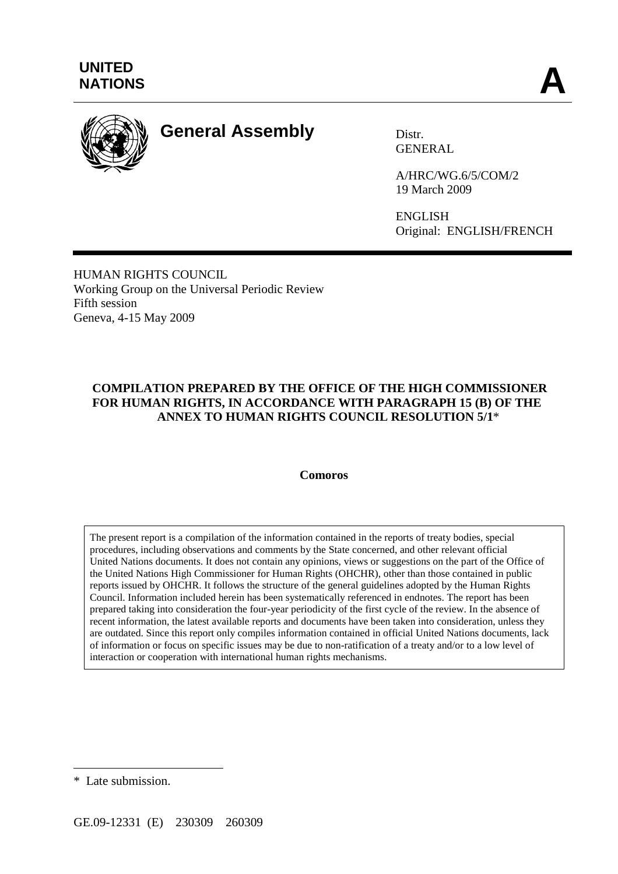

# **General Assembly** Distr.

GENERAL

A/HRC/WG.6/5/COM/2 19 March 2009

ENGLISH Original: ENGLISH/FRENCH

HUMAN RIGHTS COUNCIL Working Group on the Universal Periodic Review Fifth session Geneva, 4-15 May 2009

## **COMPILATION PREPARED BY THE OFFICE OF THE HIGH COMMISSIONER FOR HUMAN RIGHTS, IN ACCORDANCE WITH PARAGRAPH 15 (B) OF THE ANNEX TO HUMAN RIGHTS COUNCIL RESOLUTION 5/1**\*

#### **Comoros**

The present report is a compilation of the information contained in the reports of treaty bodies, special procedures, including observations and comments by the State concerned, and other relevant official United Nations documents. It does not contain any opinions, views or suggestions on the part of the Office of the United Nations High Commissioner for Human Rights (OHCHR), other than those contained in public reports issued by OHCHR. It follows the structure of the general guidelines adopted by the Human Rights Council. Information included herein has been systematically referenced in endnotes. The report has been prepared taking into consideration the four-year periodicity of the first cycle of the review. In the absence of recent information, the latest available reports and documents have been taken into consideration, unless they are outdated. Since this report only compiles information contained in official United Nations documents, lack of information or focus on specific issues may be due to non-ratification of a treaty and/or to a low level of interaction or cooperation with international human rights mechanisms.

 $\overline{a}$ 

<sup>\*</sup> Late submission.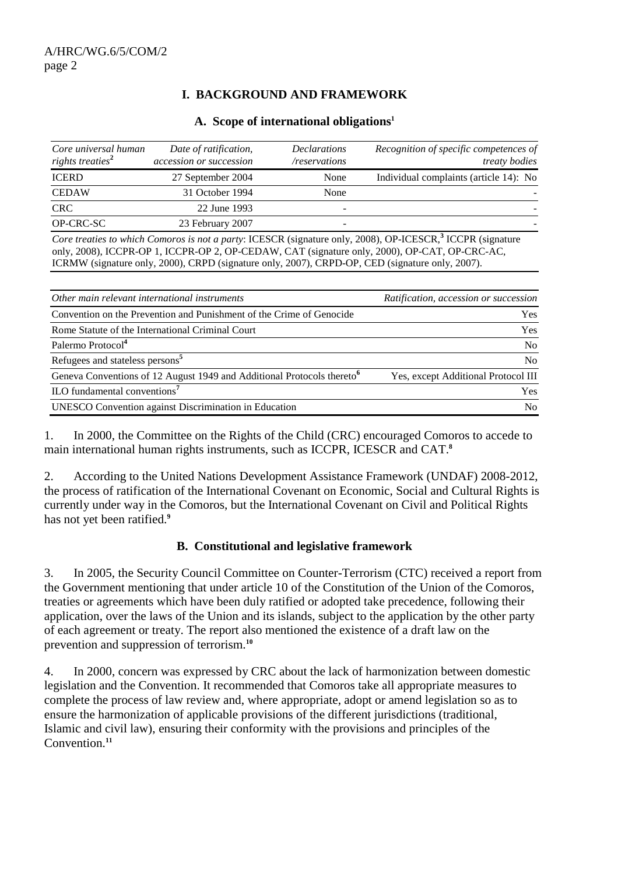# **I. BACKGROUND AND FRAMEWORK**

#### **A. Scope of international obligations1**

| Core universal human<br>rights treaties <sup>2</sup> | Date of ratification,<br>accession or succession | <b>Declarations</b><br>/reservations | Recognition of specific competences of<br><i>treaty bodies</i> |
|------------------------------------------------------|--------------------------------------------------|--------------------------------------|----------------------------------------------------------------|
| <b>ICERD</b>                                         | 27 September 2004                                | None                                 | Individual complaints (article 14): No                         |
| <b>CEDAW</b>                                         | 31 October 1994                                  | None                                 |                                                                |
| <b>CRC</b>                                           | 22 June 1993                                     |                                      |                                                                |
| OP-CRC-SC                                            | 23 February 2007                                 |                                      |                                                                |

*Core treaties to which Comoros is not a party*: ICESCR (signature only, 2008), OP-ICESCR,**<sup>3</sup>** ICCPR (signature only, 2008), ICCPR-OP 1, ICCPR-OP 2, OP-CEDAW, CAT (signature only, 2000), OP-CAT, OP-CRC-AC, ICRMW (signature only, 2000), CRPD (signature only, 2007), CRPD-OP, CED (signature only, 2007).

| Other main relevant international instruments                                      | Ratification, accession or succession |
|------------------------------------------------------------------------------------|---------------------------------------|
| Convention on the Prevention and Punishment of the Crime of Genocide               | <b>Yes</b>                            |
| Rome Statute of the International Criminal Court                                   | Yes                                   |
| Palermo Protocol <sup>4</sup>                                                      | N <sub>0</sub>                        |
| Refugees and stateless persons <sup>5</sup>                                        | No                                    |
| Geneva Conventions of 12 August 1949 and Additional Protocols thereto <sup>6</sup> | Yes, except Additional Protocol III   |
| ILO fundamental conventions <sup>7</sup>                                           | <b>Yes</b>                            |
| <b>UNESCO</b> Convention against Discrimination in Education                       | N <sub>0</sub>                        |

1. In 2000, the Committee on the Rights of the Child (CRC) encouraged Comoros to accede to main international human rights instruments, such as ICCPR, ICESCR and CAT.**<sup>8</sup>**

2. According to the United Nations Development Assistance Framework (UNDAF) 2008-2012, the process of ratification of the International Covenant on Economic, Social and Cultural Rights is currently under way in the Comoros, but the International Covenant on Civil and Political Rights has not yet been ratified.**<sup>9</sup>**

#### **B. Constitutional and legislative framework**

3. In 2005, the Security Council Committee on Counter-Terrorism (CTC) received a report from the Government mentioning that under article 10 of the Constitution of the Union of the Comoros, treaties or agreements which have been duly ratified or adopted take precedence, following their application, over the laws of the Union and its islands, subject to the application by the other party of each agreement or treaty. The report also mentioned the existence of a draft law on the prevention and suppression of terrorism.**<sup>10</sup>**

4. In 2000, concern was expressed by CRC about the lack of harmonization between domestic legislation and the Convention. It recommended that Comoros take all appropriate measures to complete the process of law review and, where appropriate, adopt or amend legislation so as to ensure the harmonization of applicable provisions of the different jurisdictions (traditional, Islamic and civil law), ensuring their conformity with the provisions and principles of the Convention.**11**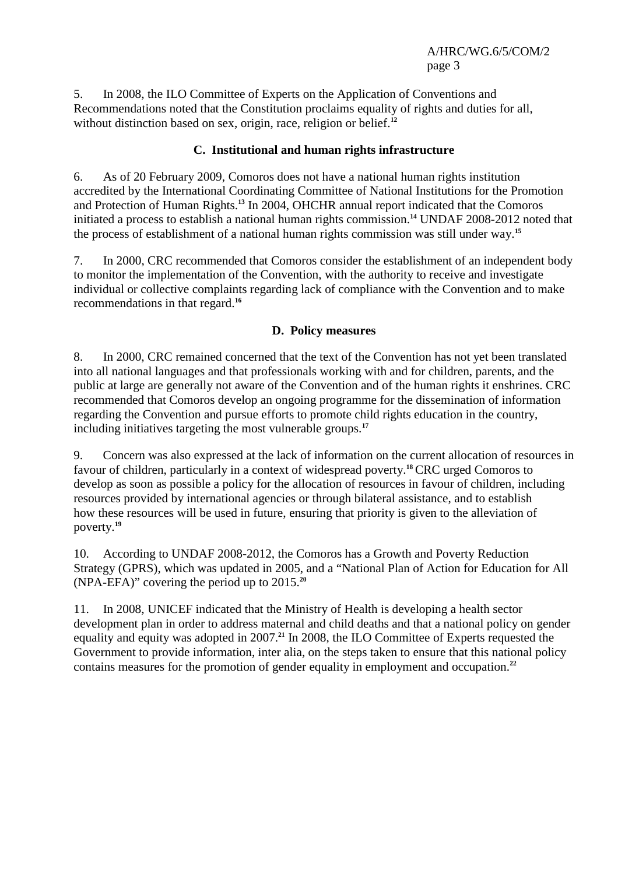5. In 2008, the ILO Committee of Experts on the Application of Conventions and Recommendations noted that the Constitution proclaims equality of rights and duties for all, without distinction based on sex, origin, race, religion or belief.<sup>12</sup>

#### **C. Institutional and human rights infrastructure**

6. As of 20 February 2009, Comoros does not have a national human rights institution accredited by the International Coordinating Committee of National Institutions for the Promotion and Protection of Human Rights.**<sup>13</sup>** In 2004, OHCHR annual report indicated that the Comoros initiated a process to establish a national human rights commission.**<sup>14</sup>** UNDAF 2008-2012 noted that the process of establishment of a national human rights commission was still under way.**<sup>15</sup>**

7. In 2000, CRC recommended that Comoros consider the establishment of an independent body to monitor the implementation of the Convention, with the authority to receive and investigate individual or collective complaints regarding lack of compliance with the Convention and to make recommendations in that regard.**<sup>16</sup>**

#### **D. Policy measures**

8. In 2000, CRC remained concerned that the text of the Convention has not yet been translated into all national languages and that professionals working with and for children, parents, and the public at large are generally not aware of the Convention and of the human rights it enshrines. CRC recommended that Comoros develop an ongoing programme for the dissemination of information regarding the Convention and pursue efforts to promote child rights education in the country, including initiatives targeting the most vulnerable groups.**<sup>17</sup>**

9. Concern was also expressed at the lack of information on the current allocation of resources in favour of children, particularly in a context of widespread poverty.**<sup>18</sup>** CRC urged Comoros to develop as soon as possible a policy for the allocation of resources in favour of children, including resources provided by international agencies or through bilateral assistance, and to establish how these resources will be used in future, ensuring that priority is given to the alleviation of poverty.**<sup>19</sup>**

10. According to UNDAF 2008-2012, the Comoros has a Growth and Poverty Reduction Strategy (GPRS), which was updated in 2005, and a "National Plan of Action for Education for All (NPA-EFA)" covering the period up to 2015.**<sup>20</sup>**

11. In 2008, UNICEF indicated that the Ministry of Health is developing a health sector development plan in order to address maternal and child deaths and that a national policy on gender equality and equity was adopted in 2007.**<sup>21</sup>** In 2008, the ILO Committee of Experts requested the Government to provide information, inter alia, on the steps taken to ensure that this national policy contains measures for the promotion of gender equality in employment and occupation.**22**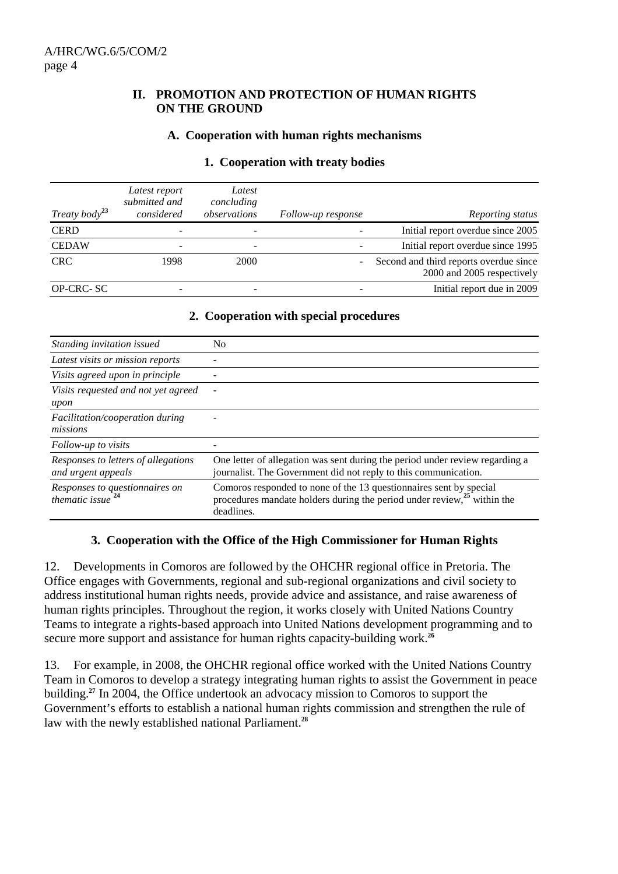#### **II. PROMOTION AND PROTECTION OF HUMAN RIGHTS ON THE GROUND**

#### **A. Cooperation with human rights mechanisms**

|  | 1. Cooperation with treaty bodies |  |  |  |
|--|-----------------------------------|--|--|--|
|--|-----------------------------------|--|--|--|

| Treaty body <sup>23</sup> | Latest report<br>submitted and<br>considered | Latest<br>concluding<br>observations | Follow-up response | Reporting status                                                     |
|---------------------------|----------------------------------------------|--------------------------------------|--------------------|----------------------------------------------------------------------|
| <b>CERD</b>               |                                              |                                      |                    | Initial report overdue since 2005                                    |
| <b>CEDAW</b>              |                                              | -                                    |                    | Initial report overdue since 1995                                    |
| <b>CRC</b>                | 1998                                         | 2000                                 |                    | Second and third reports overdue since<br>2000 and 2005 respectively |
| <b>OP-CRC-SC</b>          |                                              |                                      |                    | Initial report due in 2009                                           |

#### **2. Cooperation with special procedures**

| Standing invitation issued                                     | N <sub>0</sub>                                                                                                                                              |
|----------------------------------------------------------------|-------------------------------------------------------------------------------------------------------------------------------------------------------------|
| Latest visits or mission reports                               |                                                                                                                                                             |
| Visits agreed upon in principle                                |                                                                                                                                                             |
| Visits requested and not yet agreed<br>upon                    |                                                                                                                                                             |
| Facilitation/cooperation during<br>missions                    |                                                                                                                                                             |
| Follow-up to visits                                            |                                                                                                                                                             |
| Responses to letters of allegations<br>and urgent appeals      | One letter of allegation was sent during the period under review regarding a<br>journalist. The Government did not reply to this communication.             |
| Responses to questionnaires on<br>thematic issue <sup>24</sup> | Comoros responded to none of the 13 questionnaires sent by special procedures mandate holders during the period under review, $25$ within the<br>deadlines. |

#### **3. Cooperation with the Office of the High Commissioner for Human Rights**

12. Developments in Comoros are followed by the OHCHR regional office in Pretoria. The Office engages with Governments, regional and sub-regional organizations and civil society to address institutional human rights needs, provide advice and assistance, and raise awareness of human rights principles. Throughout the region, it works closely with United Nations Country Teams to integrate a rights-based approach into United Nations development programming and to secure more support and assistance for human rights capacity-building work.<sup>26</sup>

13. For example, in 2008, the OHCHR regional office worked with the United Nations Country Team in Comoros to develop a strategy integrating human rights to assist the Government in peace building.**<sup>27</sup>** In 2004, the Office undertook an advocacy mission to Comoros to support the Government's efforts to establish a national human rights commission and strengthen the rule of law with the newly established national Parliament.**28**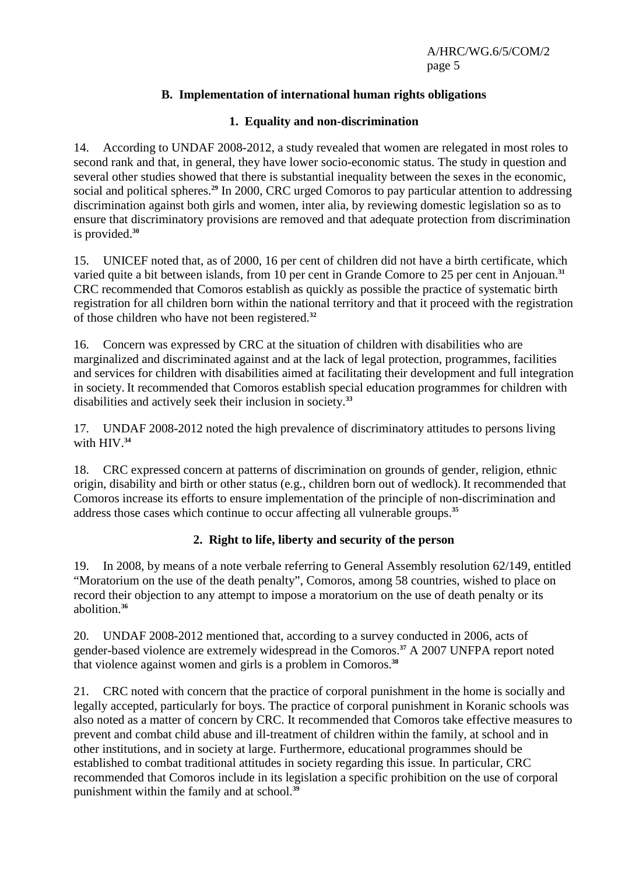# **B. Implementation of international human rights obligations**

## **1. Equality and non-discrimination**

14. According to UNDAF 2008-2012, a study revealed that women are relegated in most roles to second rank and that, in general, they have lower socio-economic status. The study in question and several other studies showed that there is substantial inequality between the sexes in the economic, social and political spheres.**<sup>29</sup>** In 2000, CRC urged Comoros to pay particular attention to addressing discrimination against both girls and women, inter alia, by reviewing domestic legislation so as to ensure that discriminatory provisions are removed and that adequate protection from discrimination is provided.**<sup>30</sup>**

15. UNICEF noted that, as of 2000, 16 per cent of children did not have a birth certificate, which varied quite a bit between islands, from 10 per cent in Grande Comore to 25 per cent in Anjouan.**<sup>31</sup>** CRC recommended that Comoros establish as quickly as possible the practice of systematic birth registration for all children born within the national territory and that it proceed with the registration of those children who have not been registered.**<sup>32</sup>**

16. Concern was expressed by CRC at the situation of children with disabilities who are marginalized and discriminated against and at the lack of legal protection, programmes, facilities and services for children with disabilities aimed at facilitating their development and full integration in society. It recommended that Comoros establish special education programmes for children with disabilities and actively seek their inclusion in society.**<sup>33</sup>**

17. UNDAF 2008-2012 noted the high prevalence of discriminatory attitudes to persons living with HIV<sup>34</sup>

18. CRC expressed concern at patterns of discrimination on grounds of gender, religion, ethnic origin, disability and birth or other status (e.g., children born out of wedlock). It recommended that Comoros increase its efforts to ensure implementation of the principle of non-discrimination and address those cases which continue to occur affecting all vulnerable groups.**<sup>35</sup>**

# **2. Right to life, liberty and security of the person**

19. In 2008, by means of a note verbale referring to General Assembly resolution 62/149, entitled "Moratorium on the use of the death penalty", Comoros, among 58 countries, wished to place on record their objection to any attempt to impose a moratorium on the use of death penalty or its abolition.**<sup>36</sup>**

20. UNDAF 2008-2012 mentioned that, according to a survey conducted in 2006, acts of gender-based violence are extremely widespread in the Comoros.**<sup>37</sup>** A 2007 UNFPA report noted that violence against women and girls is a problem in Comoros.**<sup>38</sup>**

21. CRC noted with concern that the practice of corporal punishment in the home is socially and legally accepted, particularly for boys. The practice of corporal punishment in Koranic schools was also noted as a matter of concern by CRC. It recommended that Comoros take effective measures to prevent and combat child abuse and ill-treatment of children within the family, at school and in other institutions, and in society at large. Furthermore, educational programmes should be established to combat traditional attitudes in society regarding this issue. In particular, CRC recommended that Comoros include in its legislation a specific prohibition on the use of corporal punishment within the family and at school.**39**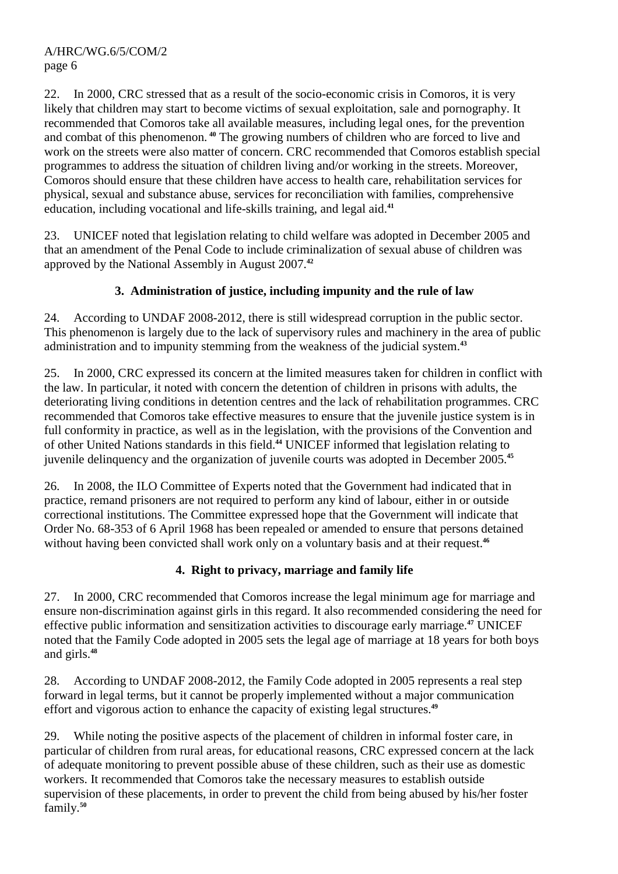22. In 2000, CRC stressed that as a result of the socio-economic crisis in Comoros, it is very likely that children may start to become victims of sexual exploitation, sale and pornography. It recommended that Comoros take all available measures, including legal ones, for the prevention and combat of this phenomenon. **<sup>40</sup>** The growing numbers of children who are forced to live and work on the streets were also matter of concern. CRC recommended that Comoros establish special programmes to address the situation of children living and/or working in the streets. Moreover, Comoros should ensure that these children have access to health care, rehabilitation services for physical, sexual and substance abuse, services for reconciliation with families, comprehensive education, including vocational and life-skills training, and legal aid.**<sup>41</sup>**

23. UNICEF noted that legislation relating to child welfare was adopted in December 2005 and that an amendment of the Penal Code to include criminalization of sexual abuse of children was approved by the National Assembly in August 2007.**<sup>42</sup>**

# **3. Administration of justice, including impunity and the rule of law**

24. According to UNDAF 2008-2012, there is still widespread corruption in the public sector. This phenomenon is largely due to the lack of supervisory rules and machinery in the area of public administration and to impunity stemming from the weakness of the judicial system.**<sup>43</sup>**

25. In 2000, CRC expressed its concern at the limited measures taken for children in conflict with the law. In particular, it noted with concern the detention of children in prisons with adults, the deteriorating living conditions in detention centres and the lack of rehabilitation programmes. CRC recommended that Comoros take effective measures to ensure that the juvenile justice system is in full conformity in practice, as well as in the legislation, with the provisions of the Convention and of other United Nations standards in this field.**<sup>44</sup>** UNICEF informed that legislation relating to juvenile delinquency and the organization of juvenile courts was adopted in December 2005.**<sup>45</sup>**

26. In 2008, the ILO Committee of Experts noted that the Government had indicated that in practice, remand prisoners are not required to perform any kind of labour, either in or outside correctional institutions. The Committee expressed hope that the Government will indicate that Order No. 68-353 of 6 April 1968 has been repealed or amended to ensure that persons detained without having been convicted shall work only on a voluntary basis and at their request.<sup>46</sup>

# **4. Right to privacy, marriage and family life**

27. In 2000, CRC recommended that Comoros increase the legal minimum age for marriage and ensure non-discrimination against girls in this regard. It also recommended considering the need for effective public information and sensitization activities to discourage early marriage.**<sup>47</sup>** UNICEF noted that the Family Code adopted in 2005 sets the legal age of marriage at 18 years for both boys and girls.**<sup>48</sup>**

28. According to UNDAF 2008-2012, the Family Code adopted in 2005 represents a real step forward in legal terms, but it cannot be properly implemented without a major communication effort and vigorous action to enhance the capacity of existing legal structures.**<sup>49</sup>**

29. While noting the positive aspects of the placement of children in informal foster care, in particular of children from rural areas, for educational reasons, CRC expressed concern at the lack of adequate monitoring to prevent possible abuse of these children, such as their use as domestic workers. It recommended that Comoros take the necessary measures to establish outside supervision of these placements, in order to prevent the child from being abused by his/her foster family.**50**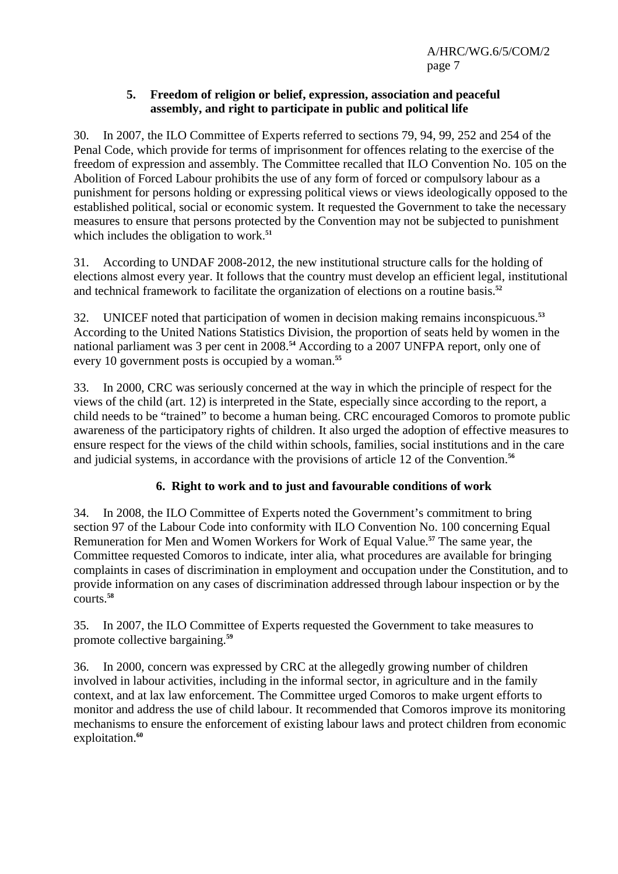#### **5. Freedom of religion or belief, expression, association and peaceful assembly, and right to participate in public and political life**

30. In 2007, the ILO Committee of Experts referred to sections 79, 94, 99, 252 and 254 of the Penal Code, which provide for terms of imprisonment for offences relating to the exercise of the freedom of expression and assembly. The Committee recalled that ILO Convention No. 105 on the Abolition of Forced Labour prohibits the use of any form of forced or compulsory labour as a punishment for persons holding or expressing political views or views ideologically opposed to the established political, social or economic system. It requested the Government to take the necessary measures to ensure that persons protected by the Convention may not be subjected to punishment which includes the obligation to work.<sup>51</sup>

31. According to UNDAF 2008-2012, the new institutional structure calls for the holding of elections almost every year. It follows that the country must develop an efficient legal, institutional and technical framework to facilitate the organization of elections on a routine basis.**<sup>52</sup>**

32. UNICEF noted that participation of women in decision making remains inconspicuous.**<sup>53</sup>** According to the United Nations Statistics Division, the proportion of seats held by women in the national parliament was 3 per cent in 2008.**<sup>54</sup>** According to a 2007 UNFPA report, only one of every 10 government posts is occupied by a woman.**<sup>55</sup>**

33. In 2000, CRC was seriously concerned at the way in which the principle of respect for the views of the child (art. 12) is interpreted in the State, especially since according to the report, a child needs to be "trained" to become a human being. CRC encouraged Comoros to promote public awareness of the participatory rights of children. It also urged the adoption of effective measures to ensure respect for the views of the child within schools, families, social institutions and in the care and judicial systems, in accordance with the provisions of article 12 of the Convention.**<sup>56</sup>**

# **6. Right to work and to just and favourable conditions of work**

34. In 2008, the ILO Committee of Experts noted the Government's commitment to bring section 97 of the Labour Code into conformity with ILO Convention No. 100 concerning Equal Remuneration for Men and Women Workers for Work of Equal Value.**<sup>57</sup>** The same year, the Committee requested Comoros to indicate, inter alia, what procedures are available for bringing complaints in cases of discrimination in employment and occupation under the Constitution, and to provide information on any cases of discrimination addressed through labour inspection or by the courts.**<sup>58</sup>**

35. In 2007, the ILO Committee of Experts requested the Government to take measures to promote collective bargaining.**<sup>59</sup>**

36. In 2000, concern was expressed by CRC at the allegedly growing number of children involved in labour activities, including in the informal sector, in agriculture and in the family context, and at lax law enforcement. The Committee urged Comoros to make urgent efforts to monitor and address the use of child labour. It recommended that Comoros improve its monitoring mechanisms to ensure the enforcement of existing labour laws and protect children from economic exploitation.**60**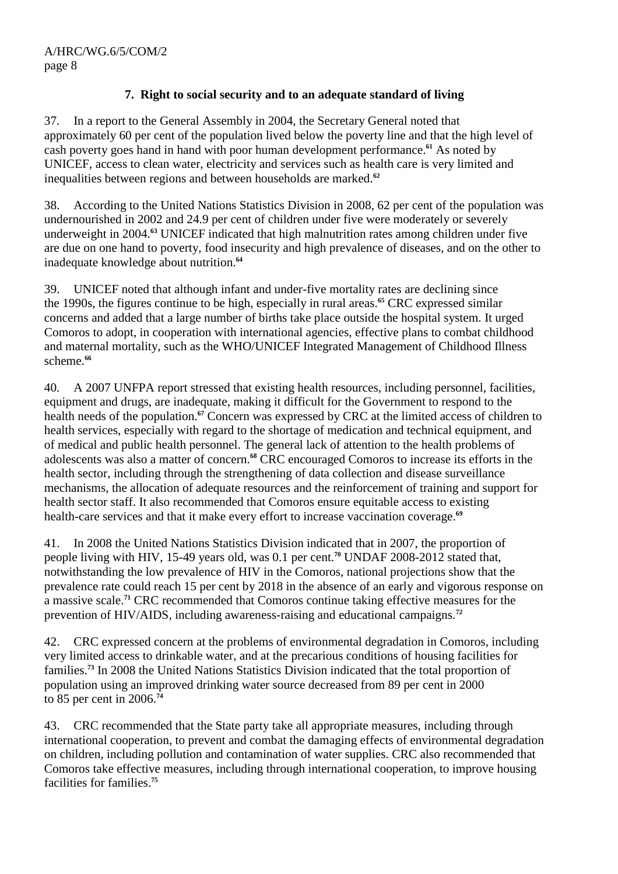# **7. Right to social security and to an adequate standard of living**

37. In a report to the General Assembly in 2004, the Secretary General noted that approximately 60 per cent of the population lived below the poverty line and that the high level of cash poverty goes hand in hand with poor human development performance.**<sup>61</sup>** As noted by UNICEF, access to clean water, electricity and services such as health care is very limited and inequalities between regions and between households are marked.**<sup>62</sup>**

38. According to the United Nations Statistics Division in 2008, 62 per cent of the population was undernourished in 2002 and 24.9 per cent of children under five were moderately or severely underweight in 2004.**<sup>63</sup>** UNICEF indicated that high malnutrition rates among children under five are due on one hand to poverty, food insecurity and high prevalence of diseases, and on the other to inadequate knowledge about nutrition.**<sup>64</sup>**

39. UNICEF noted that although infant and under-five mortality rates are declining since the 1990s, the figures continue to be high, especially in rural areas.**<sup>65</sup>** CRC expressed similar concerns and added that a large number of births take place outside the hospital system. It urged Comoros to adopt, in cooperation with international agencies, effective plans to combat childhood and maternal mortality, such as the WHO/UNICEF Integrated Management of Childhood Illness scheme.**<sup>66</sup>**

40. A 2007 UNFPA report stressed that existing health resources, including personnel, facilities, equipment and drugs, are inadequate, making it difficult for the Government to respond to the health needs of the population.**<sup>67</sup>** Concern was expressed by CRC at the limited access of children to health services, especially with regard to the shortage of medication and technical equipment, and of medical and public health personnel. The general lack of attention to the health problems of adolescents was also a matter of concern.**<sup>68</sup>** CRC encouraged Comoros to increase its efforts in the health sector, including through the strengthening of data collection and disease surveillance mechanisms, the allocation of adequate resources and the reinforcement of training and support for health sector staff. It also recommended that Comoros ensure equitable access to existing health-care services and that it make every effort to increase vaccination coverage.**<sup>69</sup>**

41. In 2008 the United Nations Statistics Division indicated that in 2007, the proportion of people living with HIV, 15-49 years old, was 0.1 per cent.**<sup>70</sup>** UNDAF 2008-2012 stated that, notwithstanding the low prevalence of HIV in the Comoros, national projections show that the prevalence rate could reach 15 per cent by 2018 in the absence of an early and vigorous response on a massive scale.**<sup>71</sup>** CRC recommended that Comoros continue taking effective measures for the prevention of HIV/AIDS, including awareness-raising and educational campaigns.**<sup>72</sup>**

42. CRC expressed concern at the problems of environmental degradation in Comoros, including very limited access to drinkable water, and at the precarious conditions of housing facilities for families.**<sup>73</sup>** In 2008 the United Nations Statistics Division indicated that the total proportion of population using an improved drinking water source decreased from 89 per cent in 2000 to 85 per cent in 2006.**<sup>74</sup>**

43. CRC recommended that the State party take all appropriate measures, including through international cooperation, to prevent and combat the damaging effects of environmental degradation on children, including pollution and contamination of water supplies. CRC also recommended that Comoros take effective measures, including through international cooperation, to improve housing facilities for families.**75**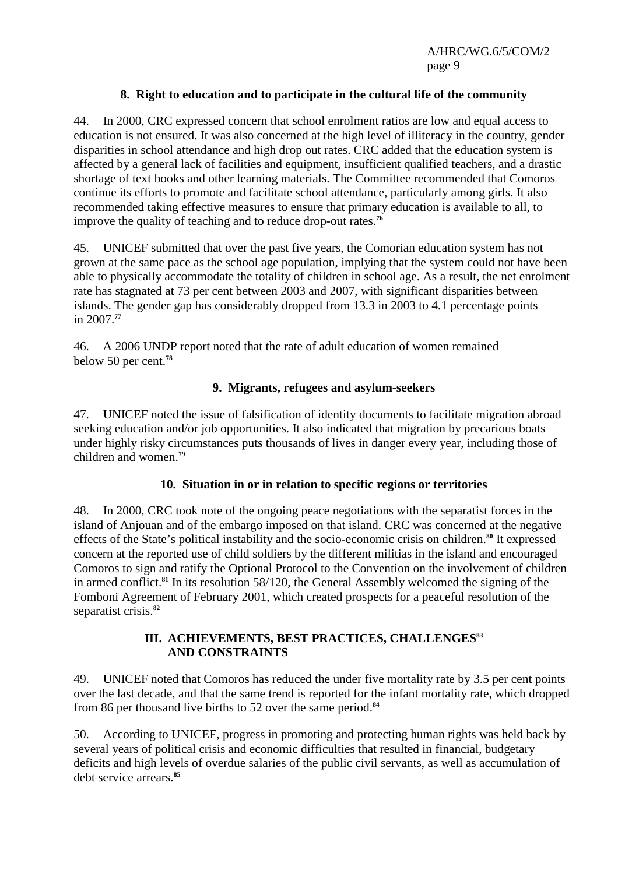## **8. Right to education and to participate in the cultural life of the community**

44. In 2000, CRC expressed concern that school enrolment ratios are low and equal access to education is not ensured. It was also concerned at the high level of illiteracy in the country, gender disparities in school attendance and high drop out rates. CRC added that the education system is affected by a general lack of facilities and equipment, insufficient qualified teachers, and a drastic shortage of text books and other learning materials. The Committee recommended that Comoros continue its efforts to promote and facilitate school attendance, particularly among girls. It also recommended taking effective measures to ensure that primary education is available to all, to improve the quality of teaching and to reduce drop-out rates.**<sup>76</sup>**

45. UNICEF submitted that over the past five years, the Comorian education system has not grown at the same pace as the school age population, implying that the system could not have been able to physically accommodate the totality of children in school age. As a result, the net enrolment rate has stagnated at 73 per cent between 2003 and 2007, with significant disparities between islands. The gender gap has considerably dropped from 13.3 in 2003 to 4.1 percentage points in 2007.**<sup>77</sup>**

46. A 2006 UNDP report noted that the rate of adult education of women remained below 50 per cent.**<sup>78</sup>**

## **9. Migrants, refugees and asylum-seekers**

47. UNICEF noted the issue of falsification of identity documents to facilitate migration abroad seeking education and/or job opportunities. It also indicated that migration by precarious boats under highly risky circumstances puts thousands of lives in danger every year, including those of children and women.**<sup>79</sup>**

## **10. Situation in or in relation to specific regions or territories**

48. In 2000, CRC took note of the ongoing peace negotiations with the separatist forces in the island of Anjouan and of the embargo imposed on that island. CRC was concerned at the negative effects of the State's political instability and the socio-economic crisis on children.**<sup>80</sup>** It expressed concern at the reported use of child soldiers by the different militias in the island and encouraged Comoros to sign and ratify the Optional Protocol to the Convention on the involvement of children in armed conflict.**<sup>81</sup>** In its resolution 58/120, the General Assembly welcomed the signing of the Fomboni Agreement of February 2001, which created prospects for a peaceful resolution of the separatist crisis.**<sup>82</sup>**

## **III. ACHIEVEMENTS, BEST PRACTICES, CHALLENGES<sup>83</sup> AND CONSTRAINTS**

49. UNICEF noted that Comoros has reduced the under five mortality rate by 3.5 per cent points over the last decade, and that the same trend is reported for the infant mortality rate, which dropped from 86 per thousand live births to 52 over the same period.**<sup>84</sup>**

50. According to UNICEF, progress in promoting and protecting human rights was held back by several years of political crisis and economic difficulties that resulted in financial, budgetary deficits and high levels of overdue salaries of the public civil servants, as well as accumulation of debt service arrears.**85**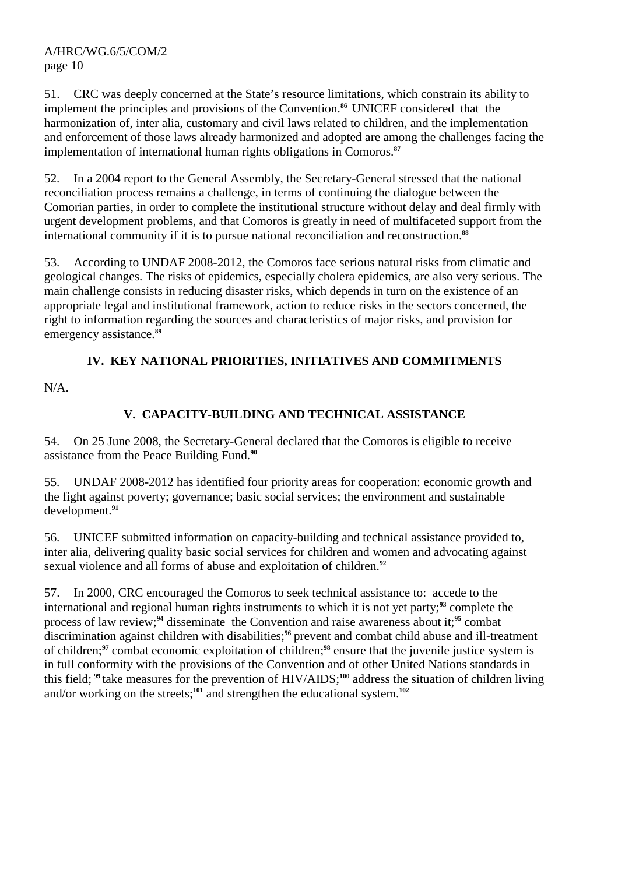51. CRC was deeply concerned at the State's resource limitations, which constrain its ability to implement the principles and provisions of the Convention.**<sup>86</sup>**UNICEF considered that the harmonization of, inter alia, customary and civil laws related to children, and the implementation and enforcement of those laws already harmonized and adopted are among the challenges facing the implementation of international human rights obligations in Comoros.**<sup>87</sup>**

52. In a 2004 report to the General Assembly, the Secretary-General stressed that the national reconciliation process remains a challenge, in terms of continuing the dialogue between the Comorian parties, in order to complete the institutional structure without delay and deal firmly with urgent development problems, and that Comoros is greatly in need of multifaceted support from the international community if it is to pursue national reconciliation and reconstruction.**<sup>88</sup>**

53. According to UNDAF 2008-2012, the Comoros face serious natural risks from climatic and geological changes. The risks of epidemics, especially cholera epidemics, are also very serious. The main challenge consists in reducing disaster risks, which depends in turn on the existence of an appropriate legal and institutional framework, action to reduce risks in the sectors concerned, the right to information regarding the sources and characteristics of major risks, and provision for emergency assistance.**<sup>89</sup>**

# **IV. KEY NATIONAL PRIORITIES, INITIATIVES AND COMMITMENTS**

N/A.

# **V. CAPACITY-BUILDING AND TECHNICAL ASSISTANCE**

54. On 25 June 2008, the Secretary-General declared that the Comoros is eligible to receive assistance from the Peace Building Fund.**<sup>90</sup>**

55. UNDAF 2008-2012 has identified four priority areas for cooperation: economic growth and the fight against poverty; governance; basic social services; the environment and sustainable development.**<sup>91</sup>**

56. UNICEF submitted information on capacity-building and technical assistance provided to, inter alia, delivering quality basic social services for children and women and advocating against sexual violence and all forms of abuse and exploitation of children.**<sup>92</sup>**

57. In 2000, CRC encouraged the Comoros to seek technical assistance to: accede to the international and regional human rights instruments to which it is not yet party;**<sup>93</sup>** complete the process of law review;**<sup>94</sup>** disseminate the Convention and raise awareness about it;**<sup>95</sup>** combat discrimination against children with disabilities;**<sup>96</sup>** prevent and combat child abuse and ill-treatment of children;**<sup>97</sup>** combat economic exploitation of children;**<sup>98</sup>** ensure that the juvenile justice system is in full conformity with the provisions of the Convention and of other United Nations standards in this field; **<sup>99</sup>**take measures for the prevention of HIV/AIDS;**<sup>100</sup>** address the situation of children living and/or working on the streets;**101** and strengthen the educational system.**102**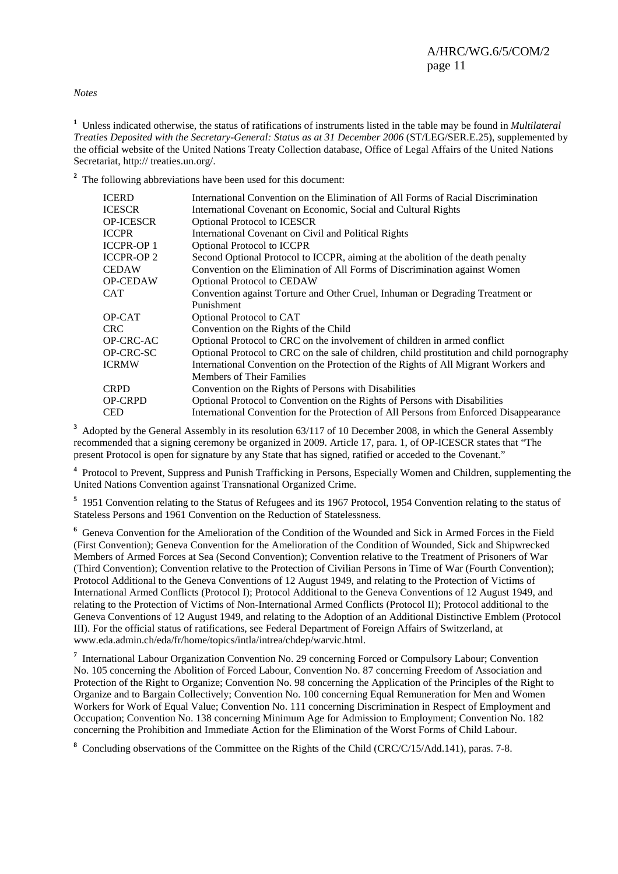*Notes*

**1** Unless indicated otherwise, the status of ratifications of instruments listed in the table may be found in *Multilateral Treaties Deposited with the Secretary-General: Status as at 31 December 2006* (ST/LEG/SER.E.25), supplemented by the official website of the United Nations Treaty Collection database, Office of Legal Affairs of the United Nations Secretariat, http:// treaties.un.org/.

<sup>2</sup> The following abbreviations have been used for this document:

| ICERD             | International Convention on the Elimination of All Forms of Racial Discrimination          |
|-------------------|--------------------------------------------------------------------------------------------|
| ICESCR            | International Covenant on Economic, Social and Cultural Rights                             |
| OP-ICESCR         | <b>Optional Protocol to ICESCR</b>                                                         |
| ICCPR             | International Covenant on Civil and Political Rights                                       |
| ICCPR-OP 1        | <b>Optional Protocol to ICCPR</b>                                                          |
| <b>ICCPR-OP 2</b> | Second Optional Protocol to ICCPR, aiming at the abolition of the death penalty            |
| CEDAW             | Convention on the Elimination of All Forms of Discrimination against Women                 |
| <b>OP-CEDAW</b>   | <b>Optional Protocol to CEDAW</b>                                                          |
| CAT               | Convention against Torture and Other Cruel, Inhuman or Degrading Treatment or              |
|                   | Punishment                                                                                 |
| OP-CAT            | Optional Protocol to CAT                                                                   |
| CRC-              | Convention on the Rights of the Child                                                      |
| OP-CRC-AC         | Optional Protocol to CRC on the involvement of children in armed conflict                  |
| OP-CRC-SC         | Optional Protocol to CRC on the sale of children, child prostitution and child pornography |
| ICRMW             | International Convention on the Protection of the Rights of All Migrant Workers and        |
|                   | <b>Members of Their Families</b>                                                           |
| CRPD              | Convention on the Rights of Persons with Disabilities                                      |
| OP-CRPD           | Optional Protocol to Convention on the Rights of Persons with Disabilities                 |
| CED               | International Convention for the Protection of All Persons from Enforced Disappearance     |
|                   |                                                                                            |

<sup>3</sup> Adopted by the General Assembly in its resolution 63/117 of 10 December 2008, in which the General Assembly recommended that a signing ceremony be organized in 2009. Article 17, para. 1, of OP-ICESCR states that "The present Protocol is open for signature by any State that has signed, ratified or acceded to the Covenant."

<sup>4</sup> Protocol to Prevent, Suppress and Punish Trafficking in Persons, Especially Women and Children, supplementing the United Nations Convention against Transnational Organized Crime.

<sup>5</sup> 1951 Convention relating to the Status of Refugees and its 1967 Protocol, 1954 Convention relating to the status of Stateless Persons and 1961 Convention on the Reduction of Statelessness.

**6** Geneva Convention for the Amelioration of the Condition of the Wounded and Sick in Armed Forces in the Field (First Convention); Geneva Convention for the Amelioration of the Condition of Wounded, Sick and Shipwrecked Members of Armed Forces at Sea (Second Convention); Convention relative to the Treatment of Prisoners of War (Third Convention); Convention relative to the Protection of Civilian Persons in Time of War (Fourth Convention); Protocol Additional to the Geneva Conventions of 12 August 1949, and relating to the Protection of Victims of International Armed Conflicts (Protocol I); Protocol Additional to the Geneva Conventions of 12 August 1949, and relating to the Protection of Victims of Non-International Armed Conflicts (Protocol II); Protocol additional to the Geneva Conventions of 12 August 1949, and relating to the Adoption of an Additional Distinctive Emblem (Protocol III). For the official status of ratifications, see Federal Department of Foreign Affairs of Switzerland, at www.eda.admin.ch/eda/fr/home/topics/intla/intrea/chdep/warvic.html.

<sup>7</sup> International Labour Organization Convention No. 29 concerning Forced or Compulsory Labour; Convention No. 105 concerning the Abolition of Forced Labour, Convention No. 87 concerning Freedom of Association and Protection of the Right to Organize; Convention No. 98 concerning the Application of the Principles of the Right to Organize and to Bargain Collectively; Convention No. 100 concerning Equal Remuneration for Men and Women Workers for Work of Equal Value; Convention No. 111 concerning Discrimination in Respect of Employment and Occupation; Convention No. 138 concerning Minimum Age for Admission to Employment; Convention No. 182 concerning the Prohibition and Immediate Action for the Elimination of the Worst Forms of Child Labour.

<sup>8</sup> Concluding observations of the Committee on the Rights of the Child (CRC/C/15/Add.141), paras. 7-8.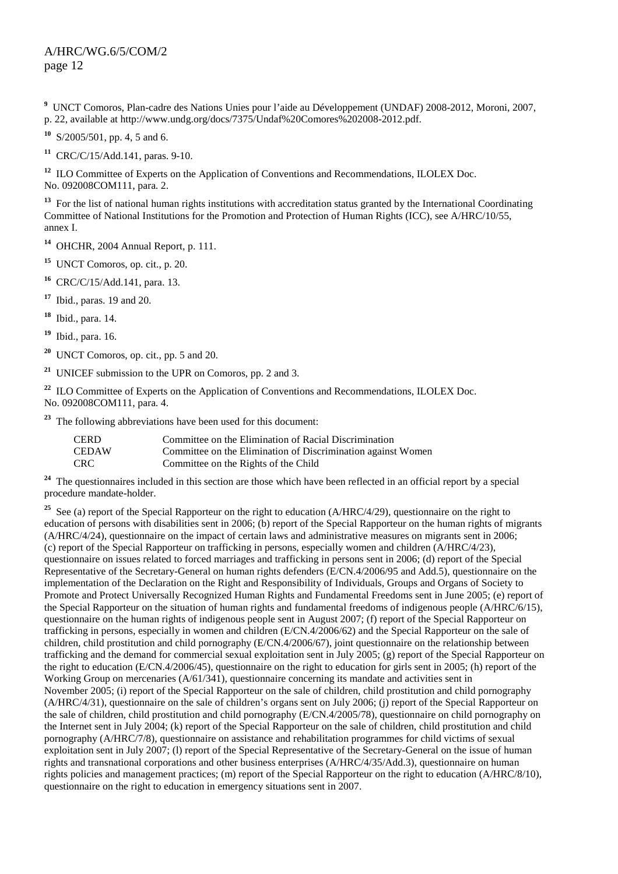**9** UNCT Comoros, Plan-cadre des Nations Unies pour l'aide au Développement (UNDAF) 2008-2012, Moroni, 2007, p. 22, available at http://www.undg.org/docs/7375/Undaf%20Comores%202008-2012.pdf.

**<sup>10</sup>** S/2005/501, pp. 4, 5 and 6.

**<sup>11</sup>** CRC/C/15/Add.141, paras. 9-10.

<sup>12</sup> ILO Committee of Experts on the Application of Conventions and Recommendations, ILOLEX Doc. No. 092008COM111, para. 2.

<sup>13</sup> For the list of national human rights institutions with accreditation status granted by the International Coordinating Committee of National Institutions for the Promotion and Protection of Human Rights (ICC), see A/HRC/10/55, annex I.

**<sup>14</sup>** OHCHR, 2004 Annual Report, p. 111.

**<sup>15</sup>** UNCT Comoros, op. cit., p. 20.

**<sup>16</sup>** CRC/C/15/Add.141, para. 13.

**<sup>17</sup>** Ibid., paras. 19 and 20.

**<sup>18</sup>** Ibid., para. 14.

**<sup>19</sup>** Ibid., para. 16.

**<sup>20</sup>** UNCT Comoros, op. cit., pp. 5 and 20.

**<sup>21</sup>** UNICEF submission to the UPR on Comoros, pp. 2 and 3.

<sup>22</sup> ILO Committee of Experts on the Application of Conventions and Recommendations, ILOLEX Doc. No. 092008COM111, para. 4.

**<sup>23</sup>** The following abbreviations have been used for this document:

| CERD  | Committee on the Elimination of Racial Discrimination        |
|-------|--------------------------------------------------------------|
| CEDAW | Committee on the Elimination of Discrimination against Women |
| CRC   | Committee on the Rights of the Child                         |

**<sup>24</sup>** The questionnaires included in this section are those which have been reflected in an official report by a special procedure mandate-holder.

<sup>25</sup> See (a) report of the Special Rapporteur on the right to education (A/HRC/4/29), questionnaire on the right to education of persons with disabilities sent in 2006; (b) report of the Special Rapporteur on the human rights of migrants (A/HRC/4/24), questionnaire on the impact of certain laws and administrative measures on migrants sent in 2006; (c) report of the Special Rapporteur on trafficking in persons, especially women and children (A/HRC/4/23), questionnaire on issues related to forced marriages and trafficking in persons sent in 2006; (d) report of the Special Representative of the Secretary-General on human rights defenders (E/CN.4/2006/95 and Add.5), questionnaire on the implementation of the Declaration on the Right and Responsibility of Individuals, Groups and Organs of Society to Promote and Protect Universally Recognized Human Rights and Fundamental Freedoms sent in June 2005; (e) report of the Special Rapporteur on the situation of human rights and fundamental freedoms of indigenous people (A/HRC/6/15), questionnaire on the human rights of indigenous people sent in August 2007; (f) report of the Special Rapporteur on trafficking in persons, especially in women and children (E/CN.4/2006/62) and the Special Rapporteur on the sale of children, child prostitution and child pornography (E/CN.4/2006/67), joint questionnaire on the relationship between trafficking and the demand for commercial sexual exploitation sent in July 2005; (g) report of the Special Rapporteur on the right to education (E/CN.4/2006/45), questionnaire on the right to education for girls sent in 2005; (h) report of the Working Group on mercenaries (A/61/341), questionnaire concerning its mandate and activities sent in November 2005; (i) report of the Special Rapporteur on the sale of children, child prostitution and child pornography (A/HRC/4/31), questionnaire on the sale of children's organs sent on July 2006; (j) report of the Special Rapporteur on the sale of children, child prostitution and child pornography (E/CN.4/2005/78), questionnaire on child pornography on the Internet sent in July 2004; (k) report of the Special Rapporteur on the sale of children, child prostitution and child pornography (A/HRC/7/8), questionnaire on assistance and rehabilitation programmes for child victims of sexual exploitation sent in July 2007; (l) report of the Special Representative of the Secretary-General on the issue of human rights and transnational corporations and other business enterprises (A/HRC/4/35/Add.3), questionnaire on human rights policies and management practices; (m) report of the Special Rapporteur on the right to education (A/HRC/8/10), questionnaire on the right to education in emergency situations sent in 2007.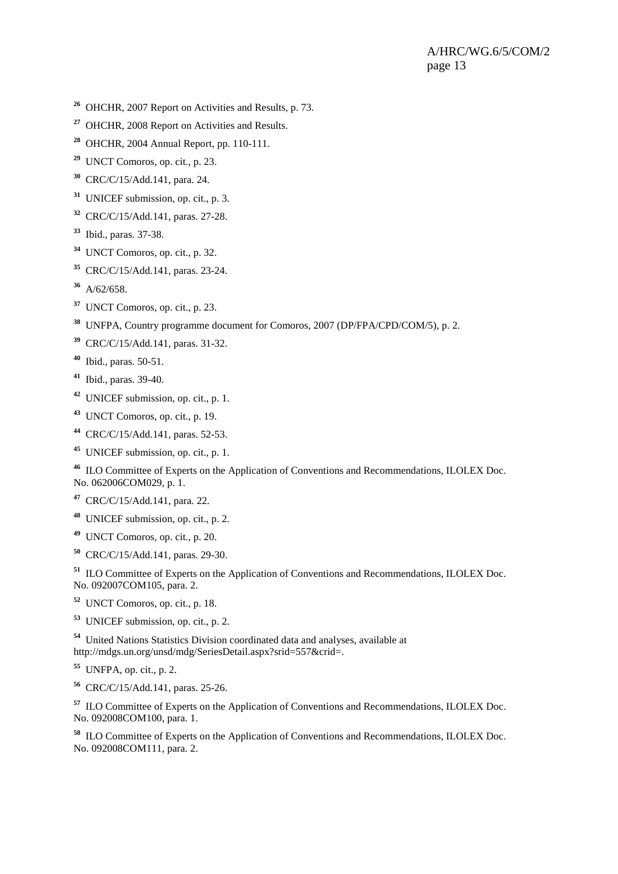- OHCHR, 2007 Report on Activities and Results, p. 73.
- OHCHR, 2008 Report on Activities and Results.
- OHCHR, 2004 Annual Report, pp. 110-111.
- UNCT Comoros, op. cit., p. 23.
- CRC/C/15/Add.141, para. 24.
- UNICEF submission, op. cit., p. 3.
- CRC/C/15/Add.141, paras. 27-28.
- Ibid., paras. 37-38.
- UNCT Comoros, op. cit., p. 32.
- CRC/C/15/Add.141, paras. 23-24.
- A/62/658.
- UNCT Comoros, op. cit., p. 23.
- UNFPA, Country programme document for Comoros, 2007 (DP/FPA/CPD/COM/5), p. 2.
- CRC/C/15/Add.141, paras. 31-32.
- Ibid., paras. 50-51.
- Ibid., paras. 39-40.
- UNICEF submission, op. cit., p. 1.
- UNCT Comoros, op. cit., p. 19.
- CRC/C/15/Add.141, paras. 52-53.
- UNICEF submission, op. cit., p. 1.

 ILO Committee of Experts on the Application of Conventions and Recommendations, ILOLEX Doc. No. 062006COM029, p. 1.

CRC/C/15/Add.141, para. 22.

UNICEF submission, op. cit., p. 2.

- UNCT Comoros, op. cit., p. 20.
- CRC/C/15/Add.141, paras. 29-30.

 ILO Committee of Experts on the Application of Conventions and Recommendations, ILOLEX Doc. No. 092007COM105, para. 2.

UNCT Comoros, op. cit., p. 18.

UNICEF submission, op. cit., p. 2.

 United Nations Statistics Division coordinated data and analyses, available at http://mdgs.un.org/unsd/mdg/SeriesDetail.aspx?srid=557&crid=.

UNFPA, op. cit., p. 2.

CRC/C/15/Add.141, paras. 25-26.

 ILO Committee of Experts on the Application of Conventions and Recommendations, ILOLEX Doc. No. 092008COM100, para. 1.

 ILO Committee of Experts on the Application of Conventions and Recommendations, ILOLEX Doc. No. 092008COM111, para. 2.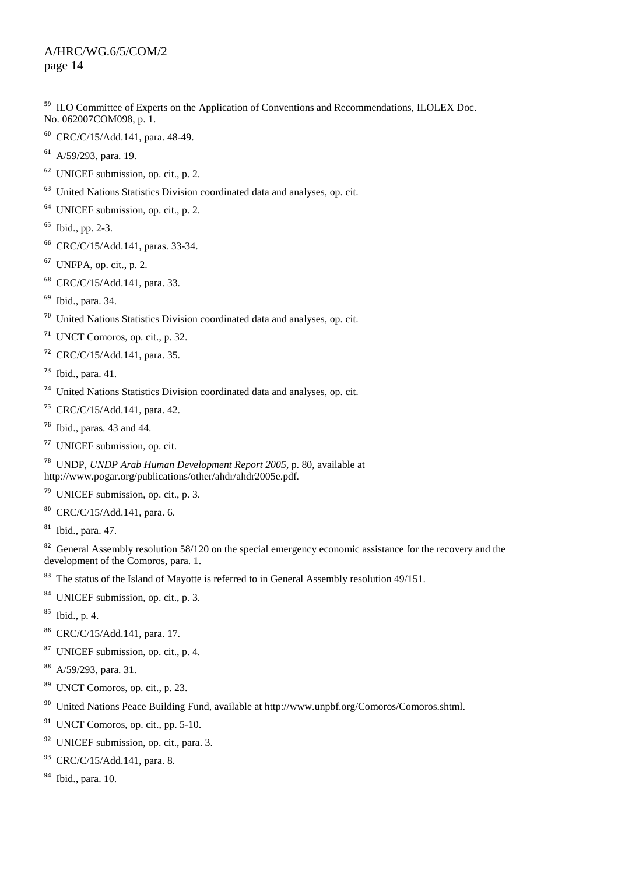ILO Committee of Experts on the Application of Conventions and Recommendations, ILOLEX Doc. No. 062007COM098, p. 1.

- CRC/C/15/Add.141, para. 48-49.
- A/59/293, para. 19.
- UNICEF submission, op. cit., p. 2.
- United Nations Statistics Division coordinated data and analyses, op. cit.
- UNICEF submission, op. cit., p. 2.
- Ibid., pp. 2-3.
- CRC/C/15/Add.141, paras. 33-34.
- UNFPA, op. cit., p. 2.
- CRC/C/15/Add.141, para. 33.
- Ibid., para. 34.
- United Nations Statistics Division coordinated data and analyses, op. cit.
- UNCT Comoros, op. cit., p. 32.
- CRC/C/15/Add.141, para. 35.
- Ibid., para. 41.
- United Nations Statistics Division coordinated data and analyses, op. cit.
- CRC/C/15/Add.141, para. 42.
- Ibid., paras. 43 and 44.
- UNICEF submission, op. cit.
- UNDP, *UNDP Arab Human Development Report 2005*, p. 80, available at http://www.pogar.org/publications/other/ahdr/ahdr2005e.pdf.
- UNICEF submission, op. cit., p. 3.
- CRC/C/15/Add.141, para. 6.
- Ibid., para. 47.

 General Assembly resolution 58/120 on the special emergency economic assistance for the recovery and the development of the Comoros, para. 1.

- The status of the Island of Mayotte is referred to in General Assembly resolution 49/151.
- UNICEF submission, op. cit., p. 3.
- Ibid., p. 4.
- CRC/C/15/Add.141, para. 17.
- UNICEF submission, op. cit., p. 4.
- A/59/293, para. 31.
- UNCT Comoros, op. cit., p. 23.
- United Nations Peace Building Fund, available at http://www.unpbf.org/Comoros/Comoros.shtml.
- UNCT Comoros, op. cit., pp. 5-10.
- UNICEF submission, op. cit., para. 3.
- CRC/C/15/Add.141, para. 8.
- Ibid., para. 10.